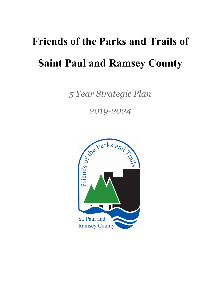# **Friends of the Parks and Trails of Saint Paul and Ramsey County**

*5 Year Strategic Plan*

*2019-2024*

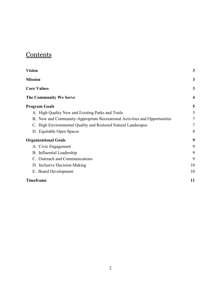### **Contents**

| <b>Vision</b>                                                              | 3                |
|----------------------------------------------------------------------------|------------------|
| <b>Mission</b>                                                             | 3                |
| <b>Core Values</b>                                                         | 3                |
| <b>The Community We Serve</b>                                              | $\boldsymbol{4}$ |
| <b>Program Goals</b>                                                       | 5                |
| A. High Quality New and Existing Parks and Trails                          | 5                |
| B. New and Community-Appropriate Recreational Activities and Opportunities | $\tau$           |
| C. High Environmental Quality and Restored Natural Landscapes              | $\tau$           |
| D. Equitable Open Spaces                                                   | 8                |
| <b>Organizational Goals</b>                                                | 9                |
| A. Civic Engagement                                                        | 9                |
| B. Influential Leadership                                                  | 9                |
| C. Outreach and Communications                                             | 9                |
| D. Inclusive Decision-Making                                               | 10               |
| E. Board Development                                                       | 10               |
| <b>Timeframe</b>                                                           | 11               |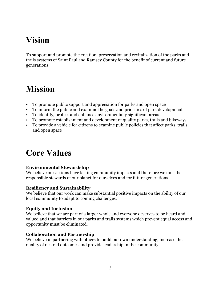# <span id="page-2-0"></span>**Vision**

To support and promote the creation, preservation and revitalization of the parks and trails systems of Saint Paul and Ramsey County for the benefit of current and future generations

# <span id="page-2-1"></span>**Mission**

- To promote public support and appreciation for parks and open space
- To inform the public and examine the goals and priorities of park development
- To identify, protect and enhance environmentally significant areas
- To promote establishment and development of quality parks, trails and bikeways
- To provide a vehicle for citizens to examine public policies that affect parks, trails, and open space

# <span id="page-2-2"></span>**Core Values**

#### **Environmental Stewardship**

We believe our actions have lasting community impacts and therefore we must be responsible stewards of our planet for ourselves and for future generations.

#### **Resiliency and Sustainability**

We believe that our work can make substantial positive impacts on the ability of our local community to adapt to coming challenges.

#### **Equity and Inclusion**

We believe that we are part of a larger whole and everyone deserves to be heard and valued and that barriers in our parks and trails systems which prevent equal access and opportunity must be eliminated.

#### **Collaboration and Partnership**

We believe in partnering with others to build our own understanding, increase the quality of desired outcomes and provide leadership in the community.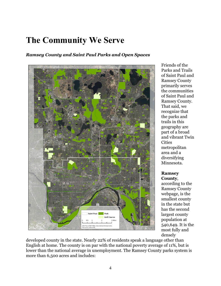# <span id="page-3-0"></span>**The Community We Serve**

#### *Ramsey County and Saint Paul Parks and Open Spaces*



Friends of the Parks and Trails of Saint Paul and Ramsey County primarily serves the communities of Saint Paul and Ramsey County. That said, we recognize that the parks and trails in this geography are part of a broad and vibrant Twin **Cities** metropolitan area and a diversifying Minnesota.

#### **Ramsey County**,

according to the Ramsey County webpage, is the smallest county in the state but has the second largest county population at 540,649. It is the most fully and densely

developed county in the state. Nearly 22% of residents speak a language other than English at home. The county is on par with the national poverty average of 11%, but is lower than the national average in unemployment. The Ramsey County parks system is more than 6,500 acres and includes: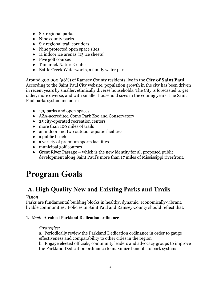- Six regional parks
- Nine county parks
- Six regional trail corridors
- Nine protected open space sites
- 11 indoor ice arenas (13 ice sheets)
- Five golf courses
- Tamarack Nature Center
- Battle Creek Waterworks, a family water park

Around 300,000 (56%) of Ramsey County residents live in the **City of Saint Paul**. According to the Saint Paul City website, population growth in the city has been driven in recent years by smaller, ethnically diverse households. The City is forecasted to get older, more diverse, and with smaller household sizes in the coming years. The Saint Paul parks system includes:

- 179 parks and open spaces
- AZA-accredited Como Park Zoo and Conservatory
- 25 city-operated recreation centers
- more than 100 miles of trails
- an indoor and two outdoor aquatic facilities
- a public beach
- a variety of premium sports facilities
- municipal golf courses
- Great River Passage which is the new identity for all proposed public development along Saint Paul's more than 17 miles of Mississippi riverfront.

# <span id="page-4-0"></span>**Program Goals**

### <span id="page-4-1"></span> **A. High Quality New and Existing Parks and Trails**

#### *Vision*

Parks are fundamental building blocks in healthy, dynamic, economically-vibrant, livable communities. Policies in Saint Paul and Ramsey County should reflect that.

#### **1.** *Goal:* **A robust Parkland Dedication ordinance**

#### *Strategies:*

a. Periodically review the Parkland Dedication ordinance in order to gauge effectiveness and comparability to other cities in the region

b. Engage elected officials, community leaders and advocacy groups to improve the Parkland Dedication ordinance to maximize benefits to park systems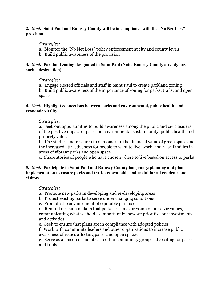#### **2.** *Goal:* **Saint Paul and Ramsey County will be in compliance with the "No Net Loss" provision**

#### *Strategies:*

- a. Monitor the "No Net Loss" policy enforcement at city and county levels
- b. Build public awareness of the provision

#### **3.** *Goal:* **Parkland zoning designated in Saint Paul (Note: Ramsey County already has such a designation)**

#### *Strategies:*

a. Engage elected officials and staff in Saint Paul to create parkland zoning b. Build public awareness of the importance of zoning for parks, trails, and open space

#### **4.** *Goal:* **Highlight connections between parks and environmental, public health, and economic vitality**

#### *Strategies:*

a. Seek out opportunities to build awareness among the public and civic leaders of the positive impact of parks on environmental sustainability, public health and property values

b. Use studies and research to demonstrate the financial value of green space and the increased attractiveness for people to want to live, work, and raise families in areas of vibrant parks and open space

c. Share stories of people who have chosen where to live based on access to parks

#### **5.** *Goal:* **Participate in Saint Paul and Ramsey County long-range planning and plan implementation to ensure parks and trails are available and useful for all residents and visitors**

#### *Strategies:*

- a. Promote new parks in developing and re-developing areas
- b. Protect existing parks to serve under changing conditions
- c. Promote the advancement of equitable park use

d. Remind decision makers that parks are an expression of our civic values, communicating what we hold as important by how we prioritize our investments and activities

- e. Seek to ensure that plans are in compliance with adopted policies
- f. Work with community leaders and other organizations to increase public awareness of issues affecting parks and open spaces

g. Serve as a liaison or member to other community groups advocating for parks and trails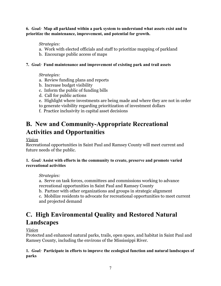**6.** *Goal:* **Map all parkland within a park system to understand what assets exist and to prioritize the maintenance, improvement, and potential for growth.**

#### *Strategies:*

- a. Work with elected officials and staff to prioritize mapping of parkland
- b. Encourage public access of maps

#### **7.** *Goal:* **Fund maintenance and improvement of existing park and trail assets**

#### *Strategies:*

- a. Review funding plans and reports
- b. Increase budget visibility
- c. Inform the public of funding bills
- d. Call for public actions
- e. Highlight where investments are being made and where they are not in order
- to generate visibility regarding prioritization of investment dollars
- f. Practice inclusivity in capital asset decisions

### <span id="page-6-0"></span>**B. New and Community-Appropriate Recreational Activities and Opportunities**

#### *Vision*

Recreational opportunities in Saint Paul and Ramsey County will meet current and future needs of the public.

#### **1.** *Goal:* **Assist with efforts in the community to create, preserve and promote varied recreational activities**

#### *Strategies:*

a. Serve on task forces, committees and commissions working to advance recreational opportunities in Saint Paul and Ramsey County

b. Partner with other organizations and groups in strategic alignment

c. Mobilize residents to advocate for recreational opportunities to meet current and projected demand

## <span id="page-6-1"></span>**C. High Environmental Quality and Restored Natural Landscapes**

#### *Vision*

Protected and enhanced natural parks, trails, open space, and habitat in Saint Paul and Ramsey County, including the environs of the Mississippi River.

#### **1.** *Goal:* **Participate in efforts to improve the ecological function and natural landscapes of parks**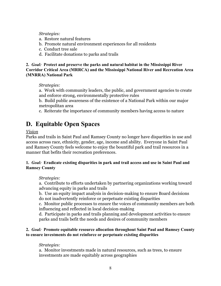*Strategies:*

- a. Restore natural features
- b. Promote natural environment experiences for all residents
- c. Conduct tree sale
- d. Facilitate donations to parks and trails

**2.** *Goal:* **Protect and preserve the parks and natural habitat in the Mississippi River Corridor Critical Area (MRRCA) and the Mississippi National River and Recreation Area (MNRRA) National Park**

#### *Strategies:*

a. Work with community leaders, the public, and government agencies to create and enforce strong, environmentally protective rules

b. Build public awareness of the existence of a National Park within our major metropolitan area

c. Reiterate the importance of community members having access to nature

### <span id="page-7-0"></span>**D. Equitable Open Spaces**

#### *Vision*

Parks and trails in Saint Paul and Ramsey County no longer have disparities in use and access across race, ethnicity, gender, age, income and ability. Everyone in Saint Paul and Ramsey County feels welcome to enjoy the bountiful park and trail resources in a manner that befits their recreation preferences.

#### **1.** *Goal:* **Eradicate existing disparities in park and trail access and use in Saint Paul and Ramsey County**

#### *Strategies:*

a. Contribute to efforts undertaken by partnering organizations working toward advancing equity in parks and trails

b. Use an equity impact analysis in decision-making to ensure Board decisions do not inadvertently reinforce or perpetuate existing disparities

c. Monitor public processes to ensure the voices of community members are both influencing and reflected in local decision-making

d. Participate in parks and trails planning and development activities to ensure parks and trails befit the needs and desires of community members

#### **2.** *Goal:* **Promote equitable resource allocation throughout Saint Paul and Ramsey County to ensure investments do not reinforce or perpetuate existing disparities**

#### *Strategies:*

a. Monitor investments made in natural resources, such as trees, to ensure investments are made equitably across geographies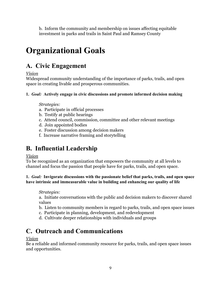b. Inform the community and membership on issues affecting equitable investment in parks and trails in Saint Paul and Ramsey County

# <span id="page-8-0"></span>**Organizational Goals**

# <span id="page-8-1"></span>**A. Civic Engagement**

*Vision*

Widespread community understanding of the importance of parks, trails, and open space in creating livable and prosperous communities.

#### **1.** *Goal:* **Actively engage in civic discussions and promote informed decision making**

#### *Strategies:*

- a. Participate in official processes
- b. Testify at public hearings
- c. Attend council, commission, committee and other relevant meetings
- d. Join appointed bodies
- e. Foster discussion among decision makers
- f. Increase narrative framing and storytelling

### <span id="page-8-2"></span>**B. Influential Leadership**

#### *Vision*

To be recognized as an organization that empowers the community at all levels to channel and focus the passion that people have for parks, trails, and open space.

#### **1.** *Goal:* **Invigorate discussions with the passionate belief that parks, trails, and open space have intrinsic and immeasurable value in building and enhancing our quality of life**

#### *Strategies:*

a. Initiate conversations with the public and decision makers to discover shared values

- b. Listen to community members in regard to parks, trails, and open space issues
- c. Participate in planning, development, and redevelopment
- d. Cultivate deeper relationships with individuals and groups

# <span id="page-8-3"></span>**C. Outreach and Communications**

#### *Vision*

Be a reliable and informed community resource for parks, trails, and open space issues and opportunities.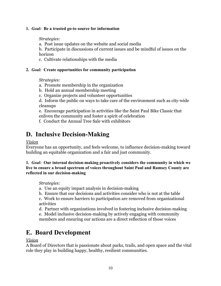#### **1.** *Goal:* **Be a trusted go-to source for information**

*Strategies:*

a. Post issue updates on the website and social media

b. Participate in discussions of current issues and be mindful of issues on the horizon

c. Cultivate relationships with the media

#### **2.** *Goal:* **Create opportunities for community participation**

*Strategies:*

- a. Promote membership in the organization
- b. Hold an annual membership meeting
- c. Organize projects and volunteer opportunities

d. Inform the public on ways to take care of the environment such as city-wide cleanups

e. Encourage participation in activities like the Saint Paul Bike Classic that enliven the community and foster a spirit of celebration

f. Conduct the Annual Tree Sale with exhibitors

### <span id="page-9-0"></span>**D. Inclusive Decision-Making**

*Vision*

Everyone has an opportunity, and feels welcome, to influence decision-making toward building an equitable organization and a fair and just community.

**1.** *Goal:* **Our internal decision-making proactively considers the community in which we live to ensure a broad spectrum of voices throughout Saint Paul and Ramsey County are reflected in our decision-making**

*Strategies:*

- a. Use an equity impact analysis in decision-making
- b. Ensure that our decisions and activities consider who is not at the table

c. Work to ensure barriers to participation are removed from organizational activities

d. Partner with organizations involved in fostering inclusive decision-making e. Model inclusive decision-making by actively engaging with community members and ensuring our actions are a direct reflection of those voices

### <span id="page-9-1"></span>**E. Board Development**

*Vision*

A Board of Directors that is passionate about parks, trails, and open space and the vital role they play in building happy, healthy, resilient communities.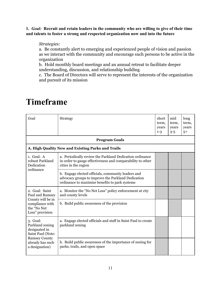**1.** *Goal:* **Recruit and retain leaders in the community who are willing to give of their time and talents to foster a strong and respected organization now and into the future**

#### *Strategies:*

a. Be constantly alert to emerging and experienced people of vision and passion as we interact with the community and encourage such persons to be active in the organization

b. Hold monthly board meetings and an annual retreat to facilitate deeper understanding, discussion, and relationship building

c. The Board of Directors will serve to represent the interests of the organization and pursuit of its mission

| Goal                                                                                                                            | Strategy                                                                                                                                                   | short<br>term,<br>years<br>$1 - 3$ | mid<br>term,<br>years<br>$3 - 5$ | long<br>term,<br>years<br>$5+$ |
|---------------------------------------------------------------------------------------------------------------------------------|------------------------------------------------------------------------------------------------------------------------------------------------------------|------------------------------------|----------------------------------|--------------------------------|
|                                                                                                                                 | <b>Program Goals</b>                                                                                                                                       |                                    |                                  |                                |
|                                                                                                                                 | A. High Quality New and Existing Parks and Trails                                                                                                          |                                    |                                  |                                |
| $1.$ Goal: A<br>robust Parkland<br>Dedication<br>ordinance                                                                      | a. Periodically review the Parkland Dedication ordinance<br>in order to gauge effectiveness and comparability to other<br>cities in the region             |                                    |                                  |                                |
|                                                                                                                                 | b. Engage elected officials, community leaders and<br>advocacy groups to improve the Parkland Dedication<br>ordinance to maximize benefits to park systems |                                    |                                  |                                |
| 2. Goal: Saint<br>Paul and Ramsey<br>County will be in<br>compliance with<br>the "No Net<br>Loss" provision                     | a. Monitor the "No Net Loss" policy enforcement at city<br>and county levels                                                                               |                                    |                                  |                                |
|                                                                                                                                 | b. Build public awareness of the provision                                                                                                                 |                                    |                                  |                                |
| 3. Goal:<br>Parkland zoning<br>designated in<br>Saint Paul (Note:<br><b>Ramsey County</b><br>already has such<br>a designation) | a. Engage elected officials and staff in Saint Paul to create<br>parkland zoning                                                                           |                                    |                                  |                                |
|                                                                                                                                 | b. Build public awareness of the importance of zoning for<br>parks, trails, and open space                                                                 |                                    |                                  |                                |

# <span id="page-10-0"></span>**Timeframe**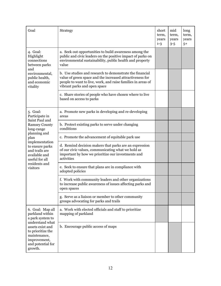| Goal                                                                                                                                                                                | Strategy                                                                                                                                                                                                              | short<br>term,<br>years<br>$1 - 3$ | mid<br>term,<br>years<br>$3 - 5$ | long<br>term,<br>years<br>$5+$ |
|-------------------------------------------------------------------------------------------------------------------------------------------------------------------------------------|-----------------------------------------------------------------------------------------------------------------------------------------------------------------------------------------------------------------------|------------------------------------|----------------------------------|--------------------------------|
| 4. Goal:<br>Highlight<br>connections<br>between parks                                                                                                                               | a. Seek out opportunities to build awareness among the<br>public and civic leaders on the positive impact of parks on<br>environmental sustainability, public health and property<br>value                            |                                    |                                  |                                |
| and<br>environmental,<br>public health,<br>and economic<br>vitality                                                                                                                 | b. Use studies and research to demonstrate the financial<br>value of green space and the increased attractiveness for<br>people to want to live, work, and raise families in areas of<br>vibrant parks and open space |                                    |                                  |                                |
|                                                                                                                                                                                     | c. Share stories of people who have chosen where to live<br>based on access to parks                                                                                                                                  |                                    |                                  |                                |
| 5. Goal:<br>Participate in                                                                                                                                                          | a. Promote new parks in developing and re-developing<br>areas                                                                                                                                                         |                                    |                                  |                                |
| Saint Paul and<br><b>Ramsey County</b><br>long-range                                                                                                                                | b. Protect existing parks to serve under changing<br>conditions                                                                                                                                                       |                                    |                                  |                                |
| planning and<br>plan                                                                                                                                                                | c. Promote the advancement of equitable park use                                                                                                                                                                      |                                    |                                  |                                |
| implementation<br>to ensure parks<br>and trails are<br>available and<br>useful for all<br>residents and<br>visitors                                                                 | d. Remind decision makers that parks are an expression<br>of our civic values, communicating what we hold as<br>important by how we prioritize our investments and<br>activities                                      |                                    |                                  |                                |
|                                                                                                                                                                                     | e. Seek to ensure that plans are in compliance with<br>adopted policies                                                                                                                                               |                                    |                                  |                                |
|                                                                                                                                                                                     | f. Work with community leaders and other organizations<br>to increase public awareness of issues affecting parks and<br>open spaces                                                                                   |                                    |                                  |                                |
|                                                                                                                                                                                     | g. Serve as a liaison or member to other community<br>groups advocating for parks and trails                                                                                                                          |                                    |                                  |                                |
| 6. Goal: Map all<br>parkland within<br>a park system to<br>understand what<br>assets exist and<br>to prioritize the<br>maintenance,<br>improvement,<br>and potential for<br>growth. | a. Work with elected officials and staff to prioritize<br>mapping of parkland                                                                                                                                         |                                    |                                  |                                |
|                                                                                                                                                                                     | b. Encourage public access of maps                                                                                                                                                                                    |                                    |                                  |                                |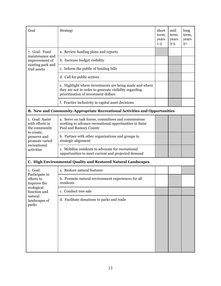| Goal                                                                                                           | <b>Strategy</b>                                                                                                                                           | short<br>term,<br>years<br>$1 - 3$ | mid<br>term,<br>years<br>$3 - 5$ | long<br>term,<br>years<br>$5+$ |
|----------------------------------------------------------------------------------------------------------------|-----------------------------------------------------------------------------------------------------------------------------------------------------------|------------------------------------|----------------------------------|--------------------------------|
| 7. Goal: Fund                                                                                                  | a. Review funding plans and reports                                                                                                                       |                                    |                                  |                                |
| maintenance and<br>improvement of                                                                              | b. Increase budget visibility                                                                                                                             |                                    |                                  |                                |
| existing park and<br>trail assets                                                                              | c. Inform the public of funding bills                                                                                                                     |                                    |                                  |                                |
|                                                                                                                | d. Call for public actions                                                                                                                                |                                    |                                  |                                |
|                                                                                                                | e. Highlight where investments are being made and where<br>they are not in order to generate visibility regarding<br>prioritization of investment dollars |                                    |                                  |                                |
|                                                                                                                | f. Practice inclusivity in capital asset decisions                                                                                                        |                                    |                                  |                                |
|                                                                                                                | <b>B. New and Community-Appropriate Recreational Activities and Opportunities</b>                                                                         |                                    |                                  |                                |
| 1. Goal: Assist<br>with efforts in<br>the community                                                            | a. Serve on task forces, committees and commissions<br>working to advance recreational opportunities in Saint<br>Paul and Ramsey County                   |                                    |                                  |                                |
| to create,<br>preserve and<br>promote varied                                                                   | b. Partner with other organizations and groups in<br>strategic alignment                                                                                  |                                    |                                  |                                |
| recreational<br>activities                                                                                     | c. Mobilize residents to advocate for recreational<br>opportunities to meet current and projected demand                                                  |                                    |                                  |                                |
|                                                                                                                | C. High Environmental Quality and Restored Natural Landscapes                                                                                             |                                    |                                  |                                |
| 1. Goal:                                                                                                       | a. Restore natural features                                                                                                                               |                                    |                                  |                                |
| Participate in<br>efforts to<br>improve the<br>ecological<br>function and<br>natural<br>landscapes of<br>parks | b. Promote natural environment experiences for all<br>residents                                                                                           |                                    |                                  |                                |
|                                                                                                                | c. Conduct tree sale                                                                                                                                      |                                    |                                  |                                |
|                                                                                                                | d. Facilitate donations to parks and trails                                                                                                               |                                    |                                  |                                |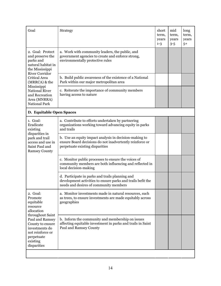| Goal                                                                                                                                                                                                 | <b>Strategy</b>                                                                                                                                          | short<br>term,<br>years<br>$1 - 3$ | mid<br>term,<br>years<br>$3 - 5$ | long<br>term,<br>years<br>$5+$ |
|------------------------------------------------------------------------------------------------------------------------------------------------------------------------------------------------------|----------------------------------------------------------------------------------------------------------------------------------------------------------|------------------------------------|----------------------------------|--------------------------------|
| 2. Goal: Protect<br>and preserve the<br>parks and<br>natural habitat in<br>the Mississippi                                                                                                           | a. Work with community leaders, the public, and<br>government agencies to create and enforce strong,<br>environmentally protective rules                 |                                    |                                  |                                |
| <b>River Corridor</b><br><b>Critical Area</b><br>(MRRCA) & the                                                                                                                                       | b. Build public awareness of the existence of a National<br>Park within our major metropolitan area                                                      |                                    |                                  |                                |
| Mississippi<br><b>National River</b><br>and Recreation<br>Area (MNRRA)<br><b>National Park</b>                                                                                                       | c. Reiterate the importance of community members<br>having access to nature                                                                              |                                    |                                  |                                |
| D. Equitable Open Spaces                                                                                                                                                                             |                                                                                                                                                          |                                    |                                  |                                |
| 1. Goal:<br>Eradicate<br>existing<br>disparities in<br>park and trail<br>access and use in<br>Saint Paul and<br><b>Ramsey County</b>                                                                 | a. Contribute to efforts undertaken by partnering<br>organizations working toward advancing equity in parks<br>and trails                                |                                    |                                  |                                |
|                                                                                                                                                                                                      | b. Use an equity impact analysis in decision-making to<br>ensure Board decisions do not inadvertently reinforce or<br>perpetuate existing disparities    |                                    |                                  |                                |
|                                                                                                                                                                                                      | c. Monitor public processes to ensure the voices of<br>community members are both influencing and reflected in<br>local decision-making                  |                                    |                                  |                                |
|                                                                                                                                                                                                      | d. Participate in parks and trails planning and<br>development activities to ensure parks and trails befit the<br>needs and desires of community members |                                    |                                  |                                |
| 2. Goal:<br>Promote<br>equitable<br>resource<br>allocation<br>throughout Saint<br>Paul and Ramsey<br>County to ensure<br>investments do<br>not reinforce or<br>perpetuate<br>existing<br>disparities | a. Monitor investments made in natural resources, such<br>as trees, to ensure investments are made equitably across<br>geographies                       |                                    |                                  |                                |
|                                                                                                                                                                                                      | b. Inform the community and membership on issues<br>affecting equitable investment in parks and trails in Saint<br>Paul and Ramsey County                |                                    |                                  |                                |
|                                                                                                                                                                                                      |                                                                                                                                                          |                                    |                                  |                                |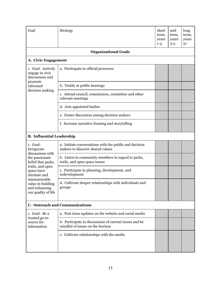| Goal                                                                                                                         | <b>Strategy</b>                                                                            | short<br>term,<br>years<br>$1-3$ | mid<br>term,<br>years<br>$3 - 5$ | long<br>term,<br>years<br>$5+$ |
|------------------------------------------------------------------------------------------------------------------------------|--------------------------------------------------------------------------------------------|----------------------------------|----------------------------------|--------------------------------|
|                                                                                                                              | <b>Organizational Goals</b>                                                                |                                  |                                  |                                |
| A. Civic Engagement                                                                                                          |                                                                                            |                                  |                                  |                                |
| 1. Goal: Actively<br>engage in civic<br>discussions and                                                                      | a. Participate in official processes                                                       |                                  |                                  |                                |
| promote<br>informed                                                                                                          | b. Testify at public hearings                                                              |                                  |                                  |                                |
| decision making                                                                                                              | c. Attend council, commission, committee and other<br>relevant meetings                    |                                  |                                  |                                |
|                                                                                                                              | d. Join appointed bodies                                                                   |                                  |                                  |                                |
|                                                                                                                              | e. Foster discussion among decision makers                                                 |                                  |                                  |                                |
|                                                                                                                              | f. Increase narrative framing and storytelling                                             |                                  |                                  |                                |
| <b>B.</b> Influential Leadership                                                                                             |                                                                                            |                                  |                                  |                                |
| 1. Goal:<br>Invigorate<br>discussions with                                                                                   | a. Initiate conversations with the public and decision<br>makers to discover shared values |                                  |                                  |                                |
| the passionate<br>belief that parks,                                                                                         | b. Listen to community members in regard to parks,<br>trails, and open space issues        |                                  |                                  |                                |
| trails, and open<br>space have<br>intrinsic and<br>immeasurable<br>value in building<br>and enhancing<br>our quality of life | c. Participate in planning, development, and<br>redevelopment                              |                                  |                                  |                                |
|                                                                                                                              | d. Cultivate deeper relationships with individuals and<br>groups                           |                                  |                                  |                                |
|                                                                                                                              | <b>C. Outreach and Communications</b>                                                      |                                  |                                  |                                |
| 1. Goal: Be a                                                                                                                | a. Post issue updates on the website and social media                                      |                                  |                                  |                                |
| trusted go-to<br>source for<br>information                                                                                   | b. Participate in discussions of current issues and be<br>mindful of issues on the horizon |                                  |                                  |                                |
|                                                                                                                              | c. Cultivate relationships with the media                                                  |                                  |                                  |                                |